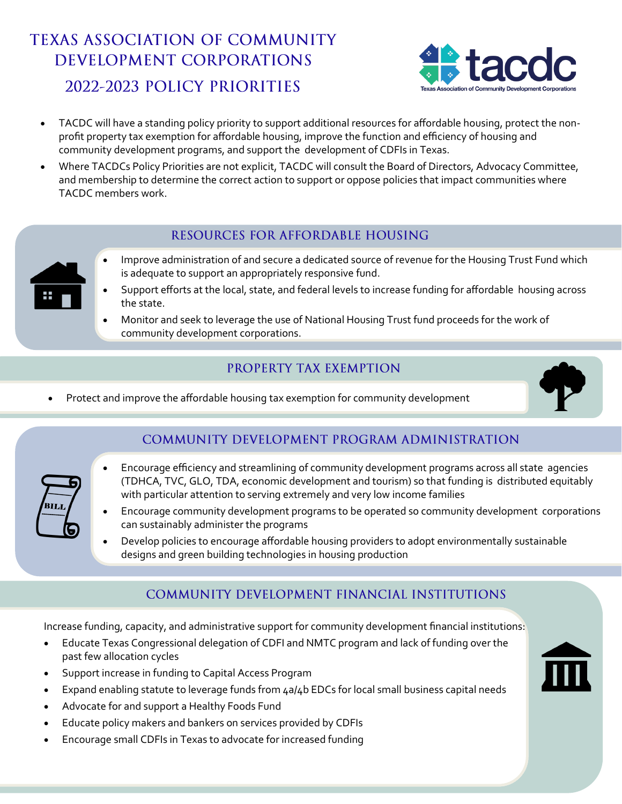# **TEXAS ASSOCIATION OF COMMUNITY** DEVELOPMENT CORPORATIONS 2022-2023 POLICY PRIORITIES



- TACDC will have a standing policy priority to support additional resources for affordable housing, protect the nonprofit property tax exemption for affordable housing, improve the function and efficiency of housing and community development programs, and support the development of CDFIs in Texas.
- Where TACDCs Policy Priorities are not explicit, TACDC will consult the Board of Directors, Advocacy Committee, and membership to determine the correct action to support or oppose policies that impact communities where TACDC members work.

#### RESOURCES FOR AFFORDABLE HOUSING

- Improve administration of and secure a dedicated source of revenue for the Housing Trust Fund which is adequate to support an appropriately responsive fund.
- Support efforts at the local, state, and federal levels to increase funding for affordable housing across the state.
- Monitor and seek to leverage the use of National Housing Trust fund proceeds for the work of community development corporations.

## PROPERTY TAX EXEMPTION

• Protect and improve the affordable housing tax exemption for community development



### **COMMUNITY DEVELOPMENT PROGRAM ADMINISTRATION**

- Encourage efficiency and streamlining of community development programs across all state agencies (TDHCA, TVC, GLO, TDA, economic development and tourism) so that funding is distributed equitably with particular attention to serving extremely and very low income families
- Encourage community development programs to be operated so community development corporations can sustainably administer the programs
- Develop policies to encourage affordable housing providers to adopt environmentally sustainable designs and green building technologies in housing production

### COMMUNITY DEVELOPMENT FINANCIAL INSTITUTIONS

Increase funding, capacity, and administrative support for community development financial institutions:

- Educate Texas Congressional delegation of CDFI and NMTC program and lack of funding over the past few allocation cycles
- Support increase in funding to Capital Access Program
- Expand enabling statute to leverage funds from 4a/4b EDCs for local small business capital needs
- Advocate for and support a Healthy Foods Fund
- Educate policy makers and bankers on services provided by CDFIs
- Encourage small CDFIs in Texas to advocate for increased funding